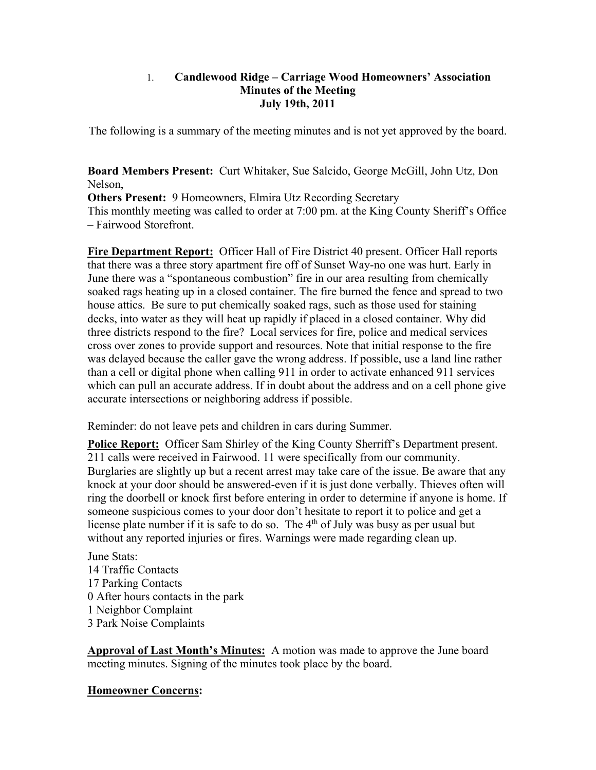### 1. **Candlewood Ridge – Carriage Wood Homeowners' Association Minutes of the Meeting July 19th, 2011**

The following is a summary of the meeting minutes and is not yet approved by the board.

**Board Members Present:** Curt Whitaker, Sue Salcido, George McGill, John Utz, Don Nelson,

**Others Present:** 9 Homeowners, Elmira Utz Recording Secretary This monthly meeting was called to order at 7:00 pm. at the King County Sheriff's Office – Fairwood Storefront.

**Fire Department Report:** Officer Hall of Fire District 40 present. Officer Hall reports that there was a three story apartment fire off of Sunset Way-no one was hurt. Early in June there was a "spontaneous combustion" fire in our area resulting from chemically soaked rags heating up in a closed container. The fire burned the fence and spread to two house attics. Be sure to put chemically soaked rags, such as those used for staining decks, into water as they will heat up rapidly if placed in a closed container. Why did three districts respond to the fire? Local services for fire, police and medical services cross over zones to provide support and resources. Note that initial response to the fire was delayed because the caller gave the wrong address. If possible, use a land line rather than a cell or digital phone when calling 911 in order to activate enhanced 911 services which can pull an accurate address. If in doubt about the address and on a cell phone give accurate intersections or neighboring address if possible.

Reminder: do not leave pets and children in cars during Summer.

**Police Report:** Officer Sam Shirley of the King County Sherriff's Department present. 211 calls were received in Fairwood. 11 were specifically from our community. Burglaries are slightly up but a recent arrest may take care of the issue. Be aware that any knock at your door should be answered-even if it is just done verbally. Thieves often will ring the doorbell or knock first before entering in order to determine if anyone is home. If someone suspicious comes to your door don't hesitate to report it to police and get a license plate number if it is safe to do so. The  $4<sup>th</sup>$  of July was busy as per usual but without any reported injuries or fires. Warnings were made regarding clean up.

June Stats: 14 Traffic Contacts 17 Parking Contacts 0 After hours contacts in the park 1 Neighbor Complaint 3 Park Noise Complaints

**Approval of Last Month's Minutes:** A motion was made to approve the June board meeting minutes. Signing of the minutes took place by the board.

## **Homeowner Concerns:**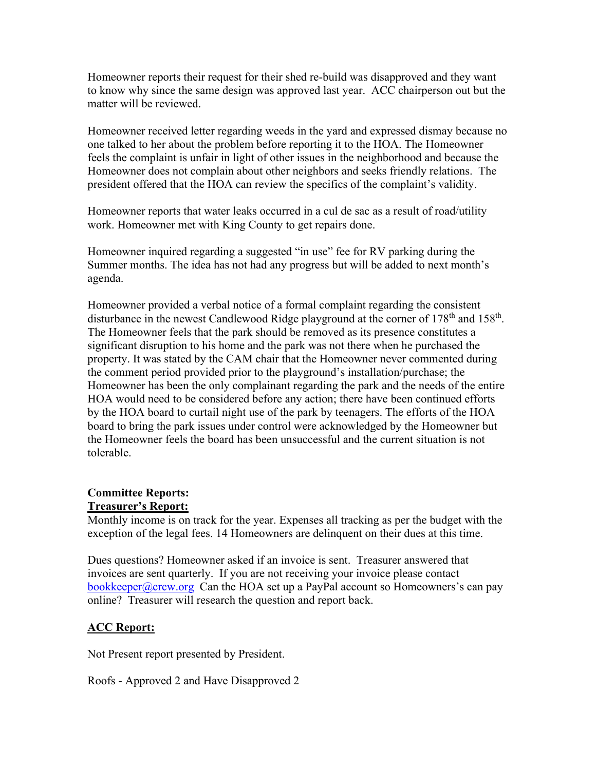Homeowner reports their request for their shed re-build was disapproved and they want to know why since the same design was approved last year. ACC chairperson out but the matter will be reviewed.

Homeowner received letter regarding weeds in the yard and expressed dismay because no one talked to her about the problem before reporting it to the HOA. The Homeowner feels the complaint is unfair in light of other issues in the neighborhood and because the Homeowner does not complain about other neighbors and seeks friendly relations. The president offered that the HOA can review the specifics of the complaint's validity.

Homeowner reports that water leaks occurred in a cul de sac as a result of road/utility work. Homeowner met with King County to get repairs done.

Homeowner inquired regarding a suggested "in use" fee for RV parking during the Summer months. The idea has not had any progress but will be added to next month's agenda.

Homeowner provided a verbal notice of a formal complaint regarding the consistent disturbance in the newest Candlewood Ridge playground at the corner of  $178<sup>th</sup>$  and  $158<sup>th</sup>$ . The Homeowner feels that the park should be removed as its presence constitutes a significant disruption to his home and the park was not there when he purchased the property. It was stated by the CAM chair that the Homeowner never commented during the comment period provided prior to the playground's installation/purchase; the Homeowner has been the only complainant regarding the park and the needs of the entire HOA would need to be considered before any action; there have been continued efforts by the HOA board to curtail night use of the park by teenagers. The efforts of the HOA board to bring the park issues under control were acknowledged by the Homeowner but the Homeowner feels the board has been unsuccessful and the current situation is not tolerable.

# **Committee Reports:**

## **Treasurer's Report:**

Monthly income is on track for the year. Expenses all tracking as per the budget with the exception of the legal fees. 14 Homeowners are delinquent on their dues at this time.

Dues questions? Homeowner asked if an invoice is sent. Treasurer answered that invoices are sent quarterly. If you are not receiving your invoice please contact bookkeeper@crcw.org Can the HOA set up a PayPal account so Homeowners's can pay online? Treasurer will research the question and report back.

## **ACC Report:**

Not Present report presented by President.

Roofs - Approved 2 and Have Disapproved 2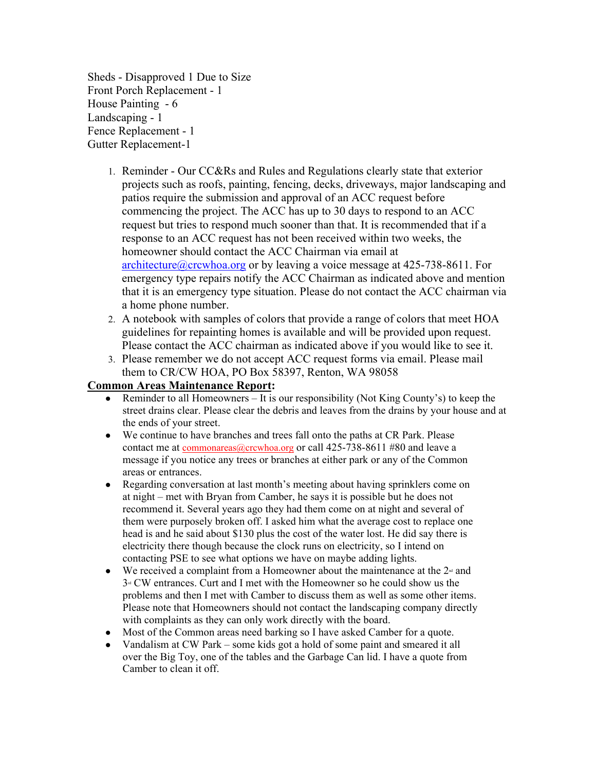Sheds - Disapproved 1 Due to Size Front Porch Replacement - 1 House Painting - 6 Landscaping - 1 Fence Replacement - 1 Gutter Replacement-1

- 1. Reminder Our CC&Rs and Rules and Regulations clearly state that exterior projects such as roofs, painting, fencing, decks, driveways, major landscaping and patios require the submission and approval of an ACC request before commencing the project. The ACC has up to 30 days to respond to an ACC request but tries to respond much sooner than that. It is recommended that if a response to an ACC request has not been received within two weeks, the homeowner should contact the ACC Chairman via email at architecture@crcwhoa.org or by leaving a voice message at 425-738-8611. For emergency type repairs notify the ACC Chairman as indicated above and mention that it is an emergency type situation. Please do not contact the ACC chairman via a home phone number.
- 2. A notebook with samples of colors that provide a range of colors that meet HOA guidelines for repainting homes is available and will be provided upon request. Please contact the ACC chairman as indicated above if you would like to see it.
- 3. Please remember we do not accept ACC request forms via email. Please mail them to CR/CW HOA, PO Box 58397, Renton, WA 98058

#### **Common Areas Maintenance Report:**

- Reminder to all Homeowners It is our responsibility (Not King County's) to keep the street drains clear. Please clear the debris and leaves from the drains by your house and at the ends of your street.
- We continue to have branches and trees fall onto the paths at CR Park. Please contact me at  $commonareas@crcwhoa.org$  or call 425-738-8611 #80 and leave a</u> message if you notice any trees or branches at either park or any of the Common areas or entrances.
- Regarding conversation at last month's meeting about having sprinklers come on at night – met with Bryan from Camber, he says it is possible but he does not recommend it. Several years ago they had them come on at night and several of them were purposely broken off. I asked him what the average cost to replace one head is and he said about \$130 plus the cost of the water lost. He did say there is electricity there though because the clock runs on electricity, so I intend on contacting PSE to see what options we have on maybe adding lights.
- We received a complaint from a Homeowner about the maintenance at the  $2<sup>\omega</sup>$  and  $3<sup>d</sup>$  CW entrances. Curt and I met with the Homeowner so he could show us the problems and then I met with Camber to discuss them as well as some other items. Please note that Homeowners should not contact the landscaping company directly with complaints as they can only work directly with the board.
- Most of the Common areas need barking so I have asked Camber for a quote.
- Vandalism at CW Park some kids got a hold of some paint and smeared it all over the Big Toy, one of the tables and the Garbage Can lid. I have a quote from Camber to clean it off.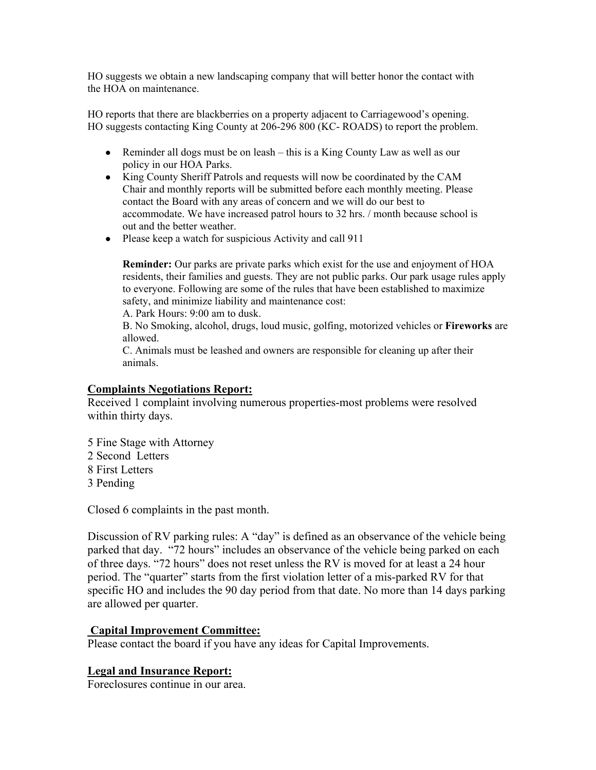HO suggests we obtain a new landscaping company that will better honor the contact with the HOA on maintenance.

HO reports that there are blackberries on a property adjacent to Carriagewood's opening. HO suggests contacting King County at 206-296 800 (KC- ROADS) to report the problem.

- Reminder all dogs must be on leash this is a King County Law as well as our policy in our HOA Parks.
- King County Sheriff Patrols and requests will now be coordinated by the CAM Chair and monthly reports will be submitted before each monthly meeting. Please contact the Board with any areas of concern and we will do our best to accommodate. We have increased patrol hours to 32 hrs. / month because school is out and the better weather.
- Please keep a watch for suspicious Activity and call 911

**Reminder:** Our parks are private parks which exist for the use and enjoyment of HOA residents, their families and guests. They are not public parks. Our park usage rules apply to everyone. Following are some of the rules that have been established to maximize safety, and minimize liability and maintenance cost:

A. Park Hours: 9:00 am to dusk.

B. No Smoking, alcohol, drugs, loud music, golfing, motorized vehicles or **Fireworks** are allowed.

C. Animals must be leashed and owners are responsible for cleaning up after their animals.

### **Complaints Negotiations Report:**

Received 1 complaint involving numerous properties-most problems were resolved within thirty days.

5 Fine Stage with Attorney 2 Second Letters 8 First Letters 3 Pending

Closed 6 complaints in the past month.

Discussion of RV parking rules: A "day" is defined as an observance of the vehicle being parked that day. "72 hours" includes an observance of the vehicle being parked on each of three days. "72 hours" does not reset unless the RV is moved for at least a 24 hour period. The "quarter" starts from the first violation letter of a mis-parked RV for that specific HO and includes the 90 day period from that date. No more than 14 days parking are allowed per quarter.

#### **Capital Improvement Committee:**

Please contact the board if you have any ideas for Capital Improvements.

## **Legal and Insurance Report:**

Foreclosures continue in our area.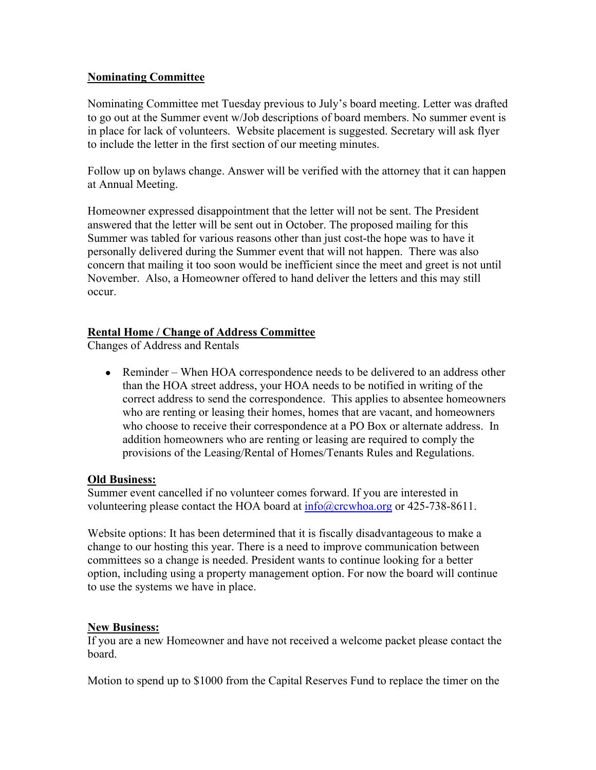### **Nominating Committee**

Nominating Committee met Tuesday previous to July's board meeting. Letter was drafted to go out at the Summer event w/Job descriptions of board members. No summer event is in place for lack of volunteers. Website placement is suggested. Secretary will ask flyer to include the letter in the first section of our meeting minutes.

Follow up on bylaws change. Answer will be verified with the attorney that it can happen at Annual Meeting.

Homeowner expressed disappointment that the letter will not be sent. The President answered that the letter will be sent out in October. The proposed mailing for this Summer was tabled for various reasons other than just cost-the hope was to have it personally delivered during the Summer event that will not happen. There was also concern that mailing it too soon would be inefficient since the meet and greet is not until November. Also, a Homeowner offered to hand deliver the letters and this may still occur.

### **Rental Home / Change of Address Committee**

Changes of Address and Rentals

• Reminder – When HOA correspondence needs to be delivered to an address other than the HOA street address, your HOA needs to be notified in writing of the correct address to send the correspondence. This applies to absentee homeowners who are renting or leasing their homes, homes that are vacant, and homeowners who choose to receive their correspondence at a PO Box or alternate address. In addition homeowners who are renting or leasing are required to comply the provisions of the Leasing/Rental of Homes/Tenants Rules and Regulations.

#### **Old Business:**

Summer event cancelled if no volunteer comes forward. If you are interested in volunteering please contact the HOA board at  $\frac{info(\omega)$ crcwhoa.org or 425-738-8611.

Website options: It has been determined that it is fiscally disadvantageous to make a change to our hosting this year. There is a need to improve communication between committees so a change is needed. President wants to continue looking for a better option, including using a property management option. For now the board will continue to use the systems we have in place.

#### **New Business:**

If you are a new Homeowner and have not received a welcome packet please contact the board.

Motion to spend up to \$1000 from the Capital Reserves Fund to replace the timer on the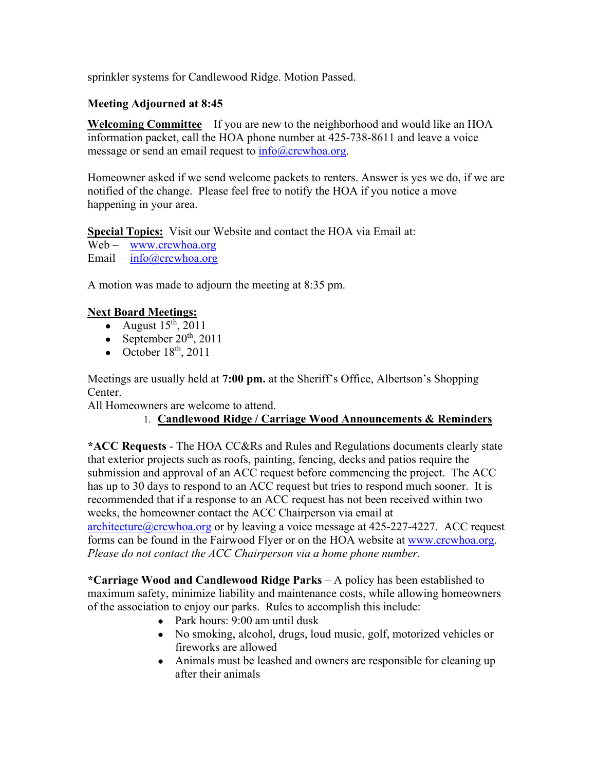sprinkler systems for Candlewood Ridge. Motion Passed.

## **Meeting Adjourned at 8:45**

**Welcoming Committee** – If you are new to the neighborhood and would like an HOA information packet, call the HOA phone number at 425-738-8611 and leave a voice message or send an email request to  $info@crcwhoa.org$ .

Homeowner asked if we send welcome packets to renters. Answer is yes we do, if we are notified of the change. Please feel free to notify the HOA if you notice a move happening in your area.

**Special Topics:** Visit our Website and contact the HOA via Email at: Web – www.crcwhoa.org Email – info@crcwhoa.org

A motion was made to adjourn the meeting at 8:35 pm.

## **Next Board Meetings:**

- August  $15<sup>th</sup>$ , 2011
- September  $20<sup>th</sup>$ , 2011
- October  $18<sup>th</sup>$ , 2011

Meetings are usually held at **7:00 pm.** at the Sheriff's Office, Albertson's Shopping Center.

All Homeowners are welcome to attend.

# 1. **Candlewood Ridge / Carriage Wood Announcements & Reminders**

**\*ACC Requests** - The HOA CC&Rs and Rules and Regulations documents clearly state that exterior projects such as roofs, painting, fencing, decks and patios require the submission and approval of an ACC request before commencing the project. The ACC has up to 30 days to respond to an ACC request but tries to respond much sooner. It is recommended that if a response to an ACC request has not been received within two weeks, the homeowner contact the ACC Chairperson via email at

architecture@crcwhoa.org or by leaving a voice message at 425-227-4227. ACC request forms can be found in the Fairwood Flyer or on the HOA website at www.crcwhoa.org. *Please do not contact the ACC Chairperson via a home phone number.*

**\*Carriage Wood and Candlewood Ridge Parks** – A policy has been established to maximum safety, minimize liability and maintenance costs, while allowing homeowners of the association to enjoy our parks. Rules to accomplish this include:

- Park hours: 9:00 am until dusk
- No smoking, alcohol, drugs, loud music, golf, motorized vehicles or fireworks are allowed
- Animals must be leashed and owners are responsible for cleaning up after their animals